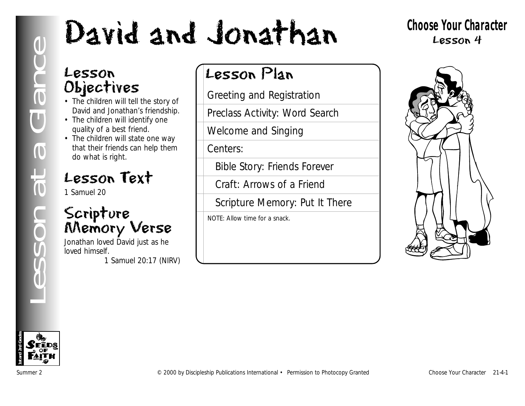# **Lesson**<br>
Collier The children will tell the story of<br>
The children will tell the story of<br>
The children will stell the story of<br>
The children will stell the story of<br>
The children will stell the one way<br>
the children will

## **Choose Your Character** Lesson 4

## Lesson Objectives

- The children will tell the story of David and Jonathan's friendship.
- The children will identify one quality of a best friend.
- The children will state one way that their friends can help them do what is right.

## Lesson Text

1 Samuel 20

## Scripture Memory Verse

Jonathan loved David just as he loved himself.

*1 Samuel 20:17 (NIRV)*

## Lesson Plan

Greeting and Registration

Preclass Activity: Word Search

Welcome and Singing

Centers:

Bible Story: Friends Forever

Craft: Arrows of a Friend

Scripture Memory: Put It There

NOTE: Allow time for a snack.



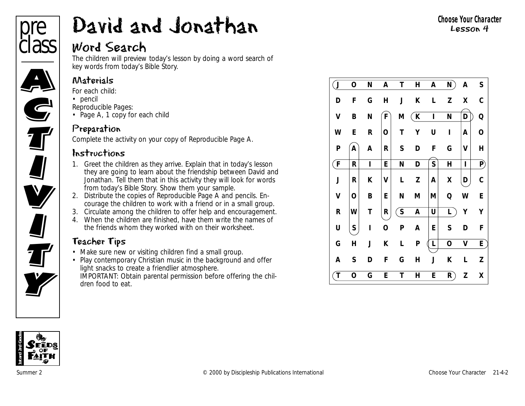

## Word Search

The children will preview today's lesson by doing a word search of key words from today's Bible Story.

## Materials

- *For each child:*
- pencil
- *Reproducible Pages:*
- Page A, 1 copy for each child

## Preparation

Complete the activity on your copy of Reproducible Page A.

## Instructions

- 1. Greet the children as they arrive. Explain that in today's lesson they are going to learn about the friendship between David and Jonathan. Tell them that in this activity they will look for words from today's Bible Story. Show them your sample.
- 2. Distribute the copies of Reproducible Page A and pencils. Encourage the children to work with a friend or in a small group.
- 3. Circulate among the children to offer help and encouragement.
- 4. When the children are finished, have them write the names of the friends whom they worked with on their worksheet.

## Teacher Tips

- Make sure new or visiting children find a small group.
- Play contemporary Christian music in the background and offer light snacks to create a friendlier atmosphere.
- IMPORTANT: Obtain parental permission before offering the children food to eat.

| $\mathbf{J}$ | 0 | N | A | Τ            | Н | A           | N           | A | S            |
|--------------|---|---|---|--------------|---|-------------|-------------|---|--------------|
| D            | F | G | Н | J            | К | L           | Z           | Χ | С            |
| V            | B | N | F | М            | K | $\mathbf I$ | N           | D | Q            |
| W            | E | R | O | Τ            | Υ | U           | ı           | Α | o            |
| P            | Α | Α | R | S            | D | F           | G           | V | Н            |
| $\mathsf{F}$ | R | Ī | E | N            | D | S           | H           | I | $\mathsf{P}$ |
| J            | R | K | V | L            | Z | A           | X           | D | C            |
| V            | O | B | E | N            | М | M           | Q           | W | E            |
| R            | W | Τ | R | $\mathsf{S}$ | A | U           | L           | Υ | Υ            |
| U            | S | ı | O | P            | A | E           | S           | D | F            |
| G            | Н | J | Κ | L            | P | L           | $\mathbf O$ | V | E            |
| A            | S | D | F | G            | Н | J           | K           | L | Z            |
| $\mathsf{T}$ | 0 | G | E | T            | Н | E           | R           | Z | χ            |

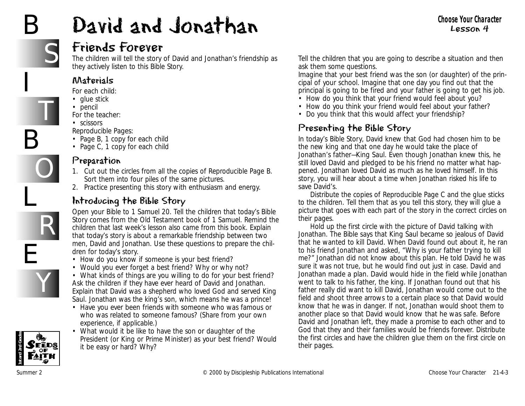# B

I

B

L

E

# David and Jonathan



T

O

R

Y

## Friends Forever

The children will tell the story of David and Jonathan's friendship as they actively listen to this Bible Story.

#### Materials

*For each child:*

- glue stick
- pencil

*For the teacher:*

• scissors

*Reproducible Pages:*

- Page B, 1 copy for each child
- Page C, 1 copy for each child

## Preparation

- 1. Cut out the circles from all the copies of Reproducible Page B. Sort them into four piles of the same pictures.
- 2. Practice presenting this story with enthusiasm and energy.

## Introducing the Bible Story

Open your Bible to 1 Samuel 20. Tell the children that today's Bible Story comes from the Old Testament book of 1 Samuel. Remind the children that last week's lesson also came from this book. Explain that today's story is about a remarkable friendship between two men, David and Jonathan. Use these questions to prepare the children for today's story.

- *How do you know if someone is your best friend?*
- *Would you ever forget a best friend? Why or why not?*
- *What kinds of things are you willing to do for your best friend?* Ask the children if they have ever heard of David and Jonathan. Explain that David was a shepherd who loved God and served King Saul. Jonathan was the king's son, which means he was a prince!
- *Have you ever been friends with someone who was famous or who was related to someone famous?* (Share from your own experience, if applicable.)
- *What would it be like to have the son or daughter of the President (or King or Prime Minister) as your best friend? Would it be easy or hard? Why?*

Tell the children that you are going to describe a situation and then ask them some questions.

*Imagine that your best friend was the son (or daughter) of the principal of your school. Imagine that one day you find out that the principal is going to be fired and your father is going to get his job.* 

- *How do you think that your friend would feel about you?*
- *How do you think your friend would feel about your father?*
- *Do you think that this would affect your friendship?*

## Presenting the Bible Story

*In today*'s *Bible Story, David knew that God had chosen him to be the new king and that one day he would take the place of Jonathan's father—King Saul. Even though Jonathan knew this, he still loved David and pledged to be his friend no matter what happened. Jonathan loved David as much as he loved himself. In this story, you will hear about a time when Jonathan risked his life to save David's.* 

Distribute the copies of Reproducible Page C and the glue sticks to the children. Tell them that as you tell this story, they will glue a picture that goes with each part of the story in the correct circles on their pages.

Hold up the first circle with the picture of David talking with Jonathan. *The Bible says that King Saul became so jealous of David that he wanted to kill David. When David found out about it, he ran to his friend Jonathan and asked, "Why is your father trying to kill me?" Jonathan did not know about this plan. He told David he was sure it was not true, but he would find out just in case. David and Jonathan made a plan. David would hide in the field while Jonathan went to talk to his father, the king. If Jonathan found out that his father really did want to kill David, Jonathan would come out to the field and shoot three arrows to a certain place so that David would know that he was in danger. If not, Jonathan would shoot them to another place so that David would know that he was safe. Before David and Jonathan left, they made a promise to each other and to* God that they and their families would be friends forever. Distribute the first circles and have the children glue them on the first circle on their pages.

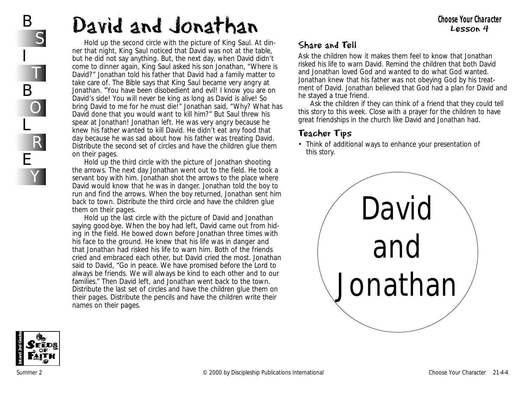Hold up the second circle with the picture of King Saul. *At dinner that night, King Saul noticed that David was not at the table, but he did not say anything. But, the next day, when David didn't come to dinner again, King Saul asked his son Jonathan, "Where is David?" Jonathan told his father that David had a family matter to take care of. The Bible says that King Saul became very angry at Jonathan. "You have been disobedient and evil! I know you are on David's side! You will never be king as long as David is alive! So bring David to me for he must die!" Jonathan said, "Why? What has David done that you would want to kill him?" But Saul threw his spear at Jonathan! Jonathan left. He was very angry because he knew his father wanted to kill David. He didn't eat any food that day because he was sad about how his father was treating David.* Distribute the second set of circles and have the children glue them on their pages.

Hold up the third circle with the picture of Jonathan shooting the arrows. *The next day Jonathan went out to the field. He took a servant boy with him. Jonathan shot the arrows to the place where David would know that he was in danger. Jonathan told the boy to run and find the arrows. When the boy returned, Jonathan sent him back to town.* Distribute the third circle and have the children glue them on their pages.

Hold up the last circle with the picture of David and Jonathan saying good-bye. *When the boy had left, David came out from hiding in the field. He bowed down before Jonathan three times with his face to the ground. He knew that his life was in danger and that Jonathan had risked his life to warn him. Both of the friends cried and embraced each other, but David cried the most. Jonathan said to David, "Go in peace. We have promised before the Lord to always be friends. We will always be kind to each other and to our families." Then David left, and Jonathan went back to the town.* Distribute the last set of circles and have the children glue them on their pages. Distribute the pencils and have the children write their names on their pages.

#### Share and Tell

Ask the children how it makes them feel to know that Jonathan risked his life to warn David. Remind the children that both David and Jonathan loved God and wanted to do what God wanted. Jonathan knew that his father was not obeying God by his treatment of David. Jonathan believed that God had a plan for David and he stayed a true friend.

Ask the children if they can think of a friend that they could tell this story to this week. Close with a prayer for the children to have great friendships in the church like David and Jonathan had.

#### Teacher Tips

• Think of additional ways to enhance your presentation of this story.



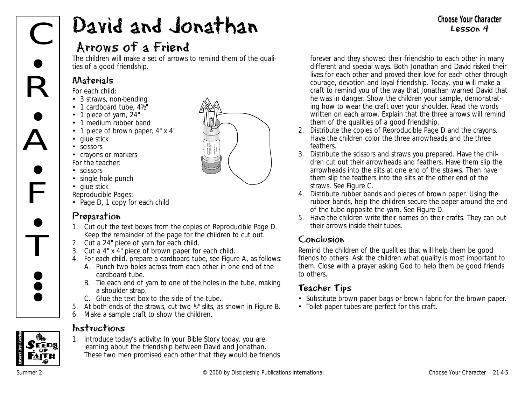## Arrows of a Friend

The children will make a set of arrows to remind them of the qualities of a good friendship.

## Materials

*For each child:*

- 3 straws, non-bending
- 1 cardboard tube,  $4\frac{1}{2}$
- 1 piece of yarn, 24"
- 1 medium rubber band
- 1 piece of brown paper, 4" x 4"
- glue stick
- scissors
- crayons or markers *For the teacher:*
- scissors
- single hole punch
- glue stick
- *Reproducible Pages:*
- Page D, 1 copy for each child

## Preparation

- 1. Cut out the text boxes from the copies of Reproducible Page D. Keep the remainder of the page for the children to cut out.
- 2. Cut a 24" piece of yarn for each child.
- 3. Cut a 4" x 4" piece of brown paper for each child.
- 4. For each child, prepare a cardboard tube, see Figure A, as follows:
	- A. Punch two holes across from each other in one end of the cardboard tube.
	- B. Tie each end of yarn to one of the holes in the tube, making a shoulder strap.
	- C. Glue the text box to the side of the tube.
- 5. At both ends of the straws, cut two  $\frac{1}{2}$ " slits, as shown in Figure B.
- 6. Make a sample craft to show the children.

#### Instructions

1. Introduce today's activity: *In your Bible Story today, you are learning about the friendship between David and Jonathan. These two men promised each other that they would be friends* *forever and they showed their friendship to each other in many different and special ways. Both Jonathan and David risked their lives for each other and proved their love for each other through courage, devotion and loyal friendship. Today, you will make a craft to remind you of the way that Jonathan warned David that he was in danger.* Show the children your sample, demonstrating how to wear the craft over your shoulder. Read the words written on each arrow. Explain that the three arrows will remind them of the qualities of a good friendship.

- 2. Distribute the copies of Reproducible Page D and the crayons. Have the children color the three arrowheads and the three feathers.
- 3. Distribute the scissors and straws you prepared. Have the children cut out their arrowheads and feathers. Have them slip the arrowheads into the slits at one end of the straws. Then have them slip the feathers into the slits at the other end of the straws. See Figure C.
- 4. Distribute rubber bands and pieces of brown paper. Using the rubber bands, help the children secure the paper around the end of the tube opposite the yarn. See Figure D.
- 5. Have the children write their names on their crafts. They can put their arrows inside their tubes.

#### Conclusion

Remind the children of the qualities that will help them be good friends to others. Ask the children what quality is most important to them. Close with a prayer asking God to help them be good friends to others.

## Teacher Tips

- Substitute brown paper bags or brown fabric for the brown paper.
- Toilet paper tubes are perfect for this craft.



#### **Choose Your Character** Lesson 4

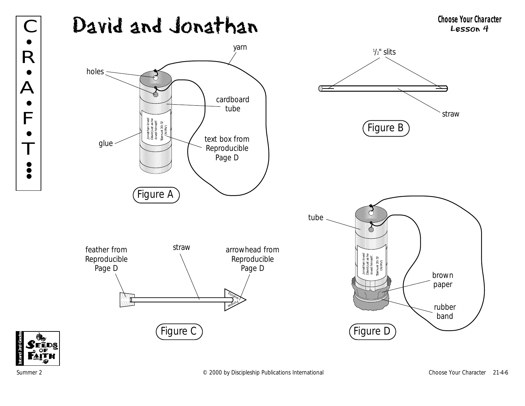



F

•

•<br>• **; •** 

 $\bullet$ 

•

•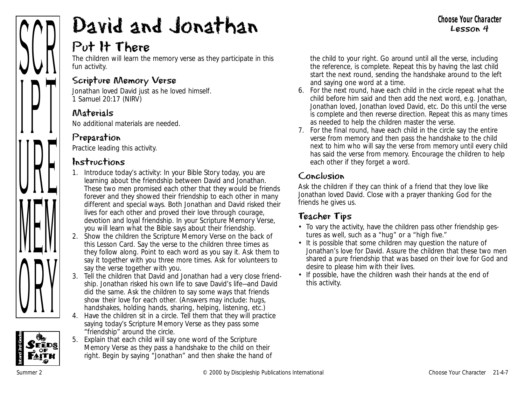

## Put It There

The children will learn the memory verse as they participate in this fun activity.

#### Scripture Memory Verse

Jonathan loved David just as he loved himself. *1 Samuel 20:17 (NIRV)*

#### Materials

No additional materials are needed.

## Preparation

Practice leading this activity.

#### Instructions

- 1. Introduce today's activity: *In your Bible Story today, you are learning about the friendship between David and Jonathan. These two men promised each other that they would be friends forever and they showed their friendship to each other in many different and special ways. Both Jonathan and David risked their lives for each other and proved their love through courage, devotion and loyal friendship. In your Scripture Memory Verse, you will learn what the Bible says about their friendship.*
- 2. Show the children the Scripture Memory Verse on the back of this Lesson Card. Say the verse to the children three times as they follow along. Point to each word as you say it. Ask them to say it together with you three more times. Ask for volunteers to say the verse together with you.
- 3. Tell the children that David and Jonathan had a very close friendship. Jonathan risked his own life to save David's life—and David did the same. Ask the children to say some ways that friends show their love for each other. (Answers may include: hugs, handshakes, holding hands, sharing, helping, listening, etc.)
- 4. Have the children sit in a circle. Tell them that they will practice saying today's Scripture Memory Verse as they pass some "friendship" around the circle.
- 5. Explain that each child will say one word of the Scripture Memory Verse as they pass a handshake to the child on their right. Begin by saying "Jonathan" and then shake the hand of

the child to your right. Go around until all the verse, including the reference, is complete. Repeat this by having the last child start the next round, sending the handshake around to the left and saying one word at a time.

- 6. For the next round, have each child in the circle repeat what the child before him said and then add the next word, e.g. Jonathan, Jonathan loved, Jonathan loved David, etc. Do this until the verse is complete and then reverse direction. Repeat this as many times as needed to help the children master the verse.
- 7. For the final round, have each child in the circle say the entire verse from memory and then pass the handshake to the child next to him who will say the verse from memory until every child has said the verse from memory. Encourage the children to help each other if they forget a word.

## Conclusion

Ask the children if they can think of a friend that they love like Jonathan loved David. Close with a prayer thanking God for the friends he gives us.

## Teacher Tips

- To vary the activity, have the children pass other friendship gestures as well, such as a "hug" or a "high five."
- It is possible that some children may question the nature of Jonathan's love for David. Assure the children that these two men shared a pure friendship that was based on their love for God and desire to please him with their lives.
- If possible, have the children wash their hands at the end of this activity.

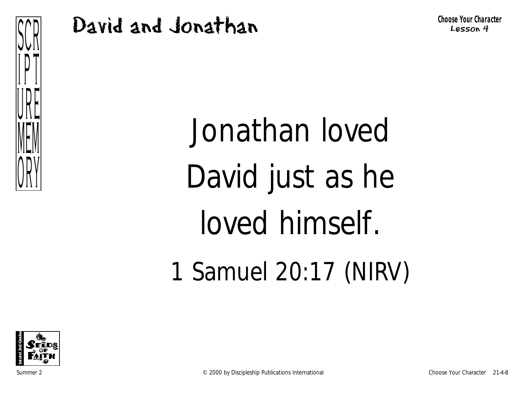

**Choose Your Character** Lesson 4

Jonathan loved David just as he loved himself. 1 Samuel 20:17 (NIRV)

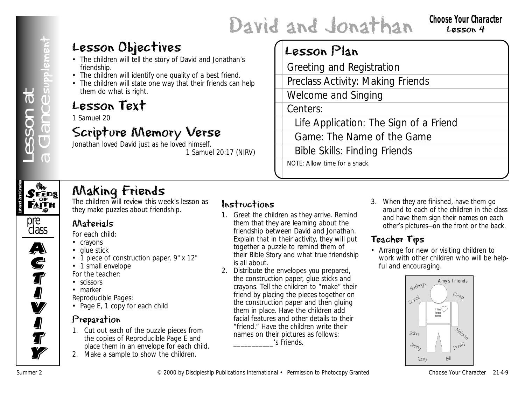#### **Choose Your Character** Lesson 4

## Lesson Objectives

- The children will tell the story of David and Jonathan's friendship.
- The children will identify one quality of a best friend.
- The children will state one way that their friends can help them do what is right.

## Lesson Text

1 Samuel 20

## Scripture Memory Verse

Jonathan loved David just as he loved himself. *1 Samuel 20:17* (NIRV)

## Lesson Plan

Greeting and Registration

Preclass Activity: Making Friends

Welcome and Singing

Centers:

Life Application: The Sign of a Friend

Game: The Name of the Game

Bible Skills: Finding Friends NOTE: Allow time for a snack.



## Making Friends

The children will review this week's lesson as they make puzzles about friendship.



A)<br>C

**S**<br>T

I<br>I

**V** 

**I** 

**J**<br>T

**Ty** 

## Materials

*For each child:*

- crayons
- glue stick
- 1 piece of construction paper, 9" x 12"
- 1 small envelope

*For the teacher:*

- scissors
- marker

*Reproducible Pages:*

• Page E, 1 copy for each child

## Preparation

- 1. Cut out each of the puzzle pieces from the copies of Reproducible Page E and place them in an envelope for each child.
- 2. Make a sample to show the children.

## Instructions

- 1. Greet the children as they arrive. Remind them that they are learning about the friendship between David and Jonathan. Explain that in their activity, they will put together a puzzle to remind them of their Bible Story and what true friendship is all about.
- **Lesson Objectives**<br> **Example of the starty of Data Boarding and Registration<br>
The choice will also the start of the start free of the control international Shipping<br>
Lesson Text The Although Fiterds Choose The Character** 2. Distribute the envelopes you prepared, the construction paper, glue sticks and crayons. Tell the children to "make" their friend by placing the pieces together on the construction paper and then gluing them in place. Have the children add facial features and other details to their "friend." Have the children write their names on their pictures as follows: \_\_\_\_\_\_\_\_\_\_\_'s Friends.
	- 3. When they are finished, have them go around to each of the children in the class and have them sign their names on each other's pictures—on the front or the back.

## Teacher Tips

• Arrange for new or visiting children to work with other children who will be helpful and encouraging.

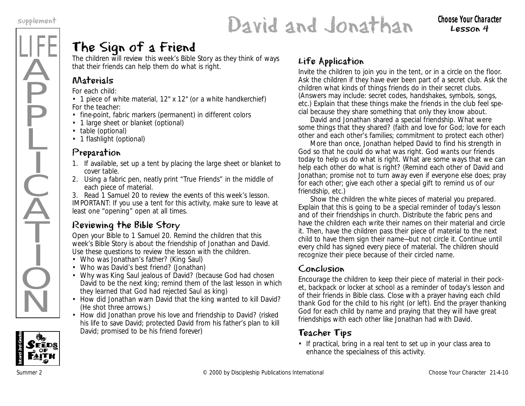# supplement **David and Jonathan** Choose Your Character

## Lesson 4

## The Sign of a Friend

The children will review this week's Bible Story as they think of ways that their friends can help them do what is right.

## Materials

*For each child:*

• 1 piece of white material, 12" x 12" (or a white handkerchief) *For the teacher:*

- fine-point, fabric markers (permanent) in different colors
- 1 large sheet or blanket (optional)
- table (optional)
- 1 flashlight (optional)

## Preparation

- 1. If available, set up a tent by placing the large sheet or blanket to cover table.
- 2. Using a fabric pen, neatly print "True Friends" in the middle of each piece of material.
- 3. Read 1 Samuel 20 to review the events of this week's lesson.

IMPORTANT: If you use a tent for this activity, make sure to leave at least one "opening" open at all times.

## Reviewing the Bible Story

Open your Bible to 1 Samuel 20. Remind the children that this week's Bible Story is about the friendship of Jonathan and David. Use these questions to review the lesson with the children.

- *Who was Jonathan's father?* (King Saul)
- *Who was David's best friend?* (Jonathan)
- *Why was King Saul jealous of David?* (because God had chosen David to be the next king; remind them of the last lesson in which they learned that God had rejected Saul as king)
- *How did Jonathan warn David that the king wanted to kill David?* (He shot three arrows.)
- *How did Jonathan prove his love and friendship to David?* (risked his life to save David; protected David from his father's plan to kill David; promised to be his friend forever)

## Life Application

Invite the children to join you in the tent, or in a circle on the floor. Ask the children if they have ever been part of a secret club. Ask the children what kinds of things friends do in their secret clubs. (Answers may include: secret codes, handshakes, symbols, songs, etc.) Explain that these things make the friends in the club feel special because they share something that only they know about.

*David and Jonathan shared a special friendship. What were some things that they shared?* (faith and love for God; love for each other and each other's families; commitment to protect each other)

*More than once, Jonathan helped David to find his strength in God so that he could do what was right. God wants our friends today to help us do what is right. What are some ways that we can help each other do what is right?* (Remind each other of David and Jonathan; promise not to turn away even if everyone else does; pray for each other; give each other a special gift to remind us of our friendship, etc.)

Show the children the white pieces of material you prepared. Explain that this is going to be a special reminder of today's lesson and of their friendships in church. Distribute the fabric pens and have the children each write their names on their material and circle it. Then, have the children pass their piece of material to the next child to have them sign their name—but not circle it. Continue until every child has signed every piece of material. The children should recognize their piece because of their circled name.

## Conclusion

Encourage the children to keep their piece of material in their pocket, backpack or locker at school as a reminder of today's lesson and of their friends in Bible class. Close with a prayer having each child thank God for the child to his right (or left). End the prayer thanking God for each child by name and praying that they will have great friendships with each other like Jonathan had with David.

## Teacher Tips

• If practical, bring in a real tent to set up in your class area to enhance the specialness of this activity.

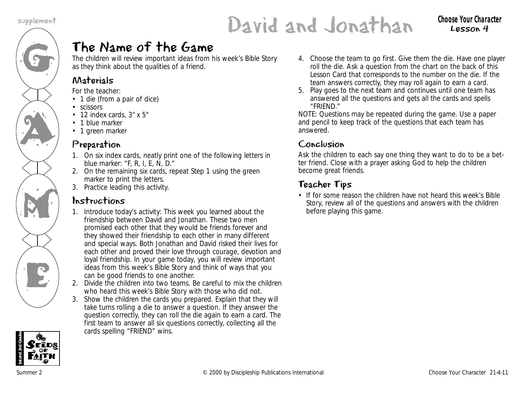

# supplement **Character Choose Your Character Choose Your Character**

## Lesson 4

## The Name of the Game

The children will review important ideas from his week's Bible Story as they think about the qualities of a friend.

## Materials

*For the teacher:*

- 1 die (from a pair of dice)
- scissors
- 12 index cards, 3" x 5"
- 1 blue marker
- 1 green marker

## Preparation

- 1. On six index cards, neatly print one of the following letters in blue marker: "F, R, I, E, N, D."
- 2. On the remaining six cards, repeat Step 1 using the green marker to print the letters.
- 3. Practice leading this activity.

## Instructions

- 1. Introduce today's activity: *This week you learned about the friendship between David and Jonathan. These two men promised each other that they would be friends forever and they showed their friendship to each other in many different and special ways. Both Jonathan and David risked their lives for each other and proved their love through courage, devotion and loyal friendship. In your game today, you will review important ideas from this week's Bible Story and think of ways that you can be good friends to one another.*
- 2. Divide the children into two teams. Be careful to mix the children who heard this week's Bible Story with those who did not.
- 3. Show the children the cards you prepared. Explain that they will take turns rolling a die to answer a question. If they answer the question correctly, they can roll the die again to earn a card. The first team to answer all six questions correctly, collecting all the cards spelling "FRIEND" wins.



5. Play goes to the next team and continues until one team has answered all the questions and gets all the cards and spells "FRIEND."

NOTE: Questions may be repeated during the game. Use a paper and pencil to keep track of the questions that each team has answered.

## Conclusion

Ask the children to each say one thing they want to do to be a better friend. Close with a prayer asking God to help the children become great friends.

## Teacher Tips

• If for some reason the children have not heard this week's Bible Story, review all of the questions and answers with the children before playing this game.

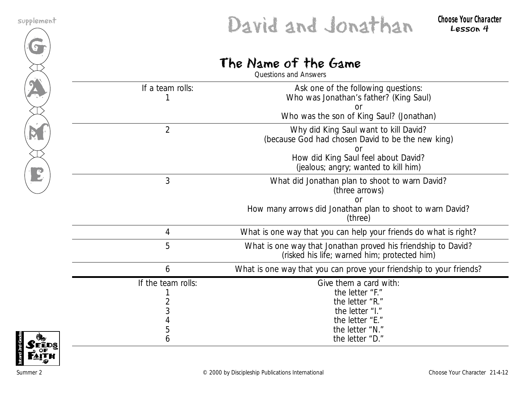

# supplement **Character Choose Your Character Choose Your Character**

## The Name of the Game

| Questions and Answers        |                                                                                                                                                                           |  |  |  |  |  |
|------------------------------|---------------------------------------------------------------------------------------------------------------------------------------------------------------------------|--|--|--|--|--|
| If a team rolls:             | Ask one of the following questions:<br>Who was Jonathan's father? (King Saul)<br>or<br>Who was the son of King Saul? (Jonathan)                                           |  |  |  |  |  |
| $\overline{2}$               | Why did King Saul want to kill David?<br>(because God had chosen David to be the new king)<br>How did King Saul feel about David?<br>(jealous; angry; wanted to kill him) |  |  |  |  |  |
| 3                            | What did Jonathan plan to shoot to warn David?<br>(three arrows)<br>How many arrows did Jonathan plan to shoot to warn David?<br>(three)                                  |  |  |  |  |  |
| 4                            | What is one way that you can help your friends do what is right?                                                                                                          |  |  |  |  |  |
| 5                            | What is one way that Jonathan proved his friendship to David?<br>(risked his life; warned him; protected him)                                                             |  |  |  |  |  |
| 6                            | What is one way that you can prove your friendship to your friends?                                                                                                       |  |  |  |  |  |
| If the team rolls:<br>3<br>5 | Give them a card with:<br>the letter "F."<br>the letter "R."<br>the letter "I."<br>the letter "E."<br>the letter "N."                                                     |  |  |  |  |  |
| 6                            | the letter "D."                                                                                                                                                           |  |  |  |  |  |

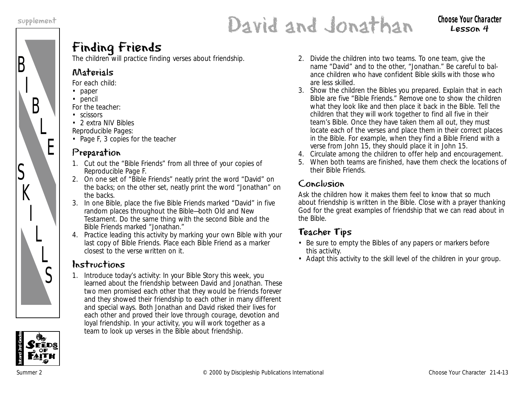B

S

 $K$ 

I

L

 $\overline{L}$ 

S

I

B

L

E

# supplement **David and Jonathan** choose your character

Lesson 4

## Finding Friends

The children will practice finding verses about friendship.

#### Materials

*For each child:*

- paper
- pencil
- *For the teacher:*
- scissors
- 2 extra NIV Bibles

*Reproducible Pages:*

• Page F, 3 copies for the teacher

## Preparation

- 1. Cut out the "Bible Friends" from all three of your copies of Reproducible Page F.
- 2. On one set of "Bible Friends" neatly print the word "David" on the backs; on the other set, neatly print the word "Jonathan" on the backs.
- 3. In one Bible, place the five Bible Friends marked "David" in five random places throughout the Bible—both Old and New Testament. Do the same thing with the second Bible and the Bible Friends marked "Jonathan."
- 4. Practice leading this activity by marking your own Bible with your last copy of Bible Friends. Place each Bible Friend as a marker closest to the verse written on it.

## Instructions

1. Introduce today's activity: *In your Bible Story this week, you learned about the friendship between David and Jonathan. These two men promised each other that they would be friends forever and they showed their friendship to each other in many different and special ways. Both Jonathan and David risked their lives for each other and proved their love through courage, devotion and loyal friendship. In your activity, you will work together as a team to look up verses in the Bible about friendship.*

- 2. Divide the children into two teams. To one team, give the name "David" and to the other, "Jonathan." Be careful to balance children who have confident Bible skills with those who are less skilled.
- 3. Show the children the Bibles you prepared. Explain that in each Bible are five "Bible Friends." Remove one to show the children what they look like and then place it back in the Bible. Tell the children that they will work together to find all five in their team's Bible. Once they have taken them all out, they must locate each of the verses and place them in their correct places in the Bible. For example, when they find a Bible Friend with a verse from John 15, they should place it in John 15.
- 4. Circulate among the children to offer help and encouragement.
- 5. When both teams are finished, have them check the locations of their Bible Friends.

## Conclusion

Ask the children how it makes them feel to know that so much about friendship is written in the Bible. Close with a prayer thanking God for the great examples of friendship that we can read about in the Bible.

## Teacher Tips

- Be sure to empty the Bibles of any papers or markers before this activity.
- Adapt this activity to the skill level of the children in your group.

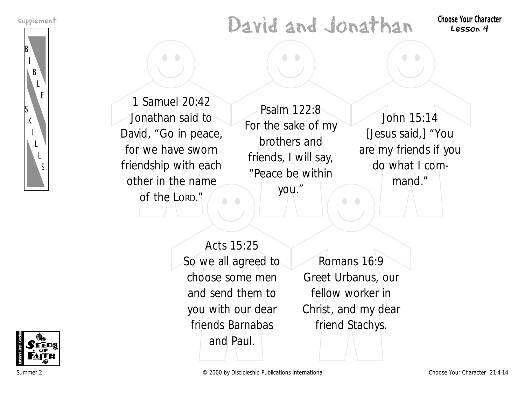B

S K

> I L L S

I B

> L E

# supplement **Character Choose Your Character Choose Your Character**

Lesson 4



 $\bullet$ 

Psalm 122:8 For the sake of my brothers and friends, I will say, "Peace be within you."

 $\bullet$  $\bullet$ 

> John 15:14 [Jesus said,] "You are my friends if you do what I command."

Acts 15:25 So we all agreed to choose some men and send them to you with our dear friends Barnabas and Paul.

Romans 16:9 Greet Urbanus, our fellow worker in Christ, and my dear friend Stachys.

 $\bullet$ 



Summer 2 Choose Your Character 21-4-14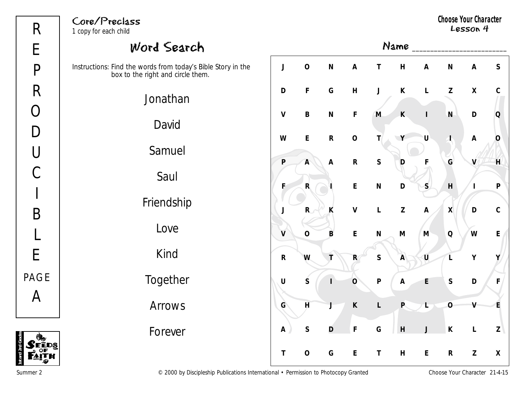**1st and 2nd Grades**

FĒDS

## Core/Preclass

1 copy for each child

**Choose Your Character** Lesson 4



Summer 2 Choose Your Character 21-4-15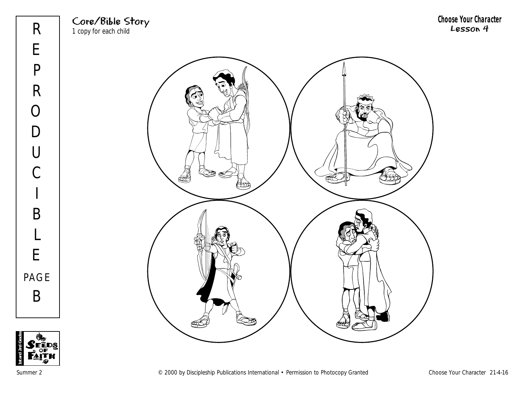





**Choose Your Character** Lesson 4

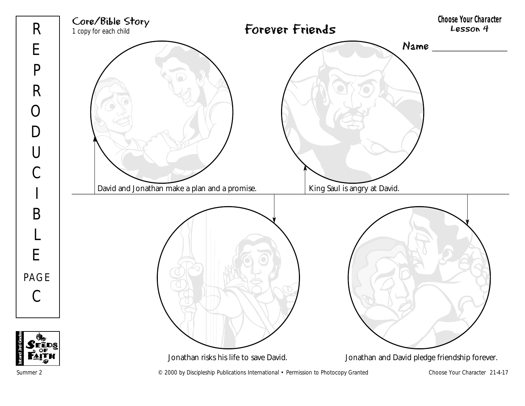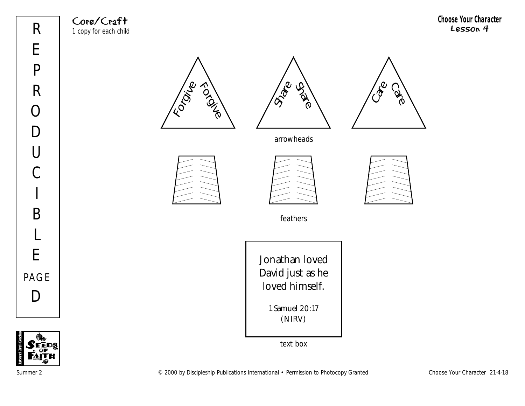Core/Craft 1 copy for each child







arrowheads







feathers

Jonathan loved David just as he loved himself. 1 Samuel 20:17 (NIRV)

text box

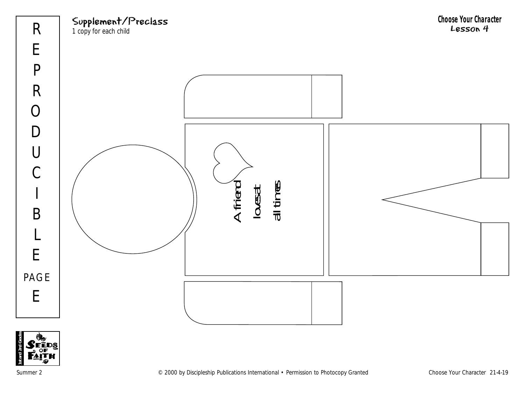

**1st and 2nd Grades**

Summer 2 Choose Your Character 21-4-19